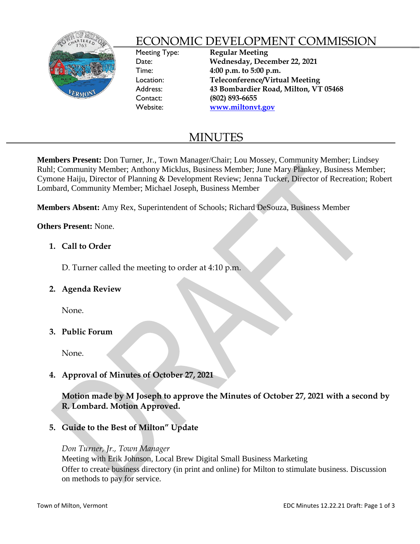

# ECONOMIC DEVELOPMENT COMMISSION

Meeting Type: **Regular Meeting** Date: **Wednesday, December 22, 2021** Time: **4:00 p.m. to 5:00 p.m.** Location: **Teleconference/Virtual Meeting** Address: **43 Bombardier Road, Milton, VT 05468** Contact: **(802) 893-6655**  Website: **[www.miltonvt.gov](http://www.miltonvt.gov/)**

# MINUTES

**Members Present:** Don Turner, Jr., Town Manager/Chair; Lou Mossey, Community Member; Lindsey Ruhl; Community Member; Anthony Micklus, Business Member; June Mary Plankey, Business Member; Cymone Haiju, Director of Planning & Development Review; Jenna Tucker, Director of Recreation; Robert Lombard, Community Member; Michael Joseph, Business Member

**Members Absent:** Amy Rex, Superintendent of Schools; Richard DeSouza, Business Member

**Others Present:** None.

# **1. Call to Order**

D. Turner called the meeting to order at 4:10 p.m.

**2. Agenda Review**

None.

## **3. Public Forum**

None.

**4. Approval of Minutes of October 27, 2021**

**Motion made by M Joseph to approve the Minutes of October 27, 2021 with a second by R. Lombard. Motion Approved.**

# **5. Guide to the Best of Milton" Update**

## *Don Turner, Jr., Town Manager*

Meeting with Erik Johnson, Local Brew Digital Small Business Marketing Offer to create business directory (in print and online) for Milton to stimulate business. Discussion on methods to pay for service.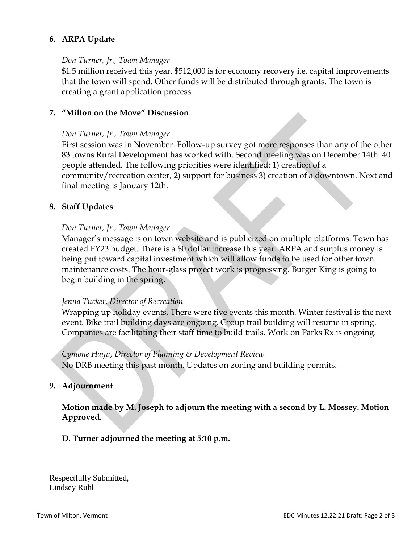# **6. ARPA Update**

#### *Don Turner, Jr., Town Manager*

\$1.5 million received this year. \$512,000 is for economy recovery i.e. capital improvements that the town will spend. Other funds will be distributed through grants. The town is creating a grant application process.

## **7. "Milton on the Move" Discussion**

## *Don Turner, Jr., Town Manager*

First session was in November. Follow-up survey got more responses than any of the other 83 towns Rural Development has worked with. Second meeting was on December 14th. 40 people attended. The following priorities were identified: 1) creation of a community/recreation center, 2) support for business 3) creation of a downtown. Next and final meeting is January 12th.

## **8. Staff Updates**

## *Don Turner, Jr., Town Manager*

Manager's message is on town website and is publicized on multiple platforms. Town has created FY23 budget. There is a \$0 dollar increase this year. ARPA and surplus money is being put toward capital investment which will allow funds to be used for other town maintenance costs. The hour-glass project work is progressing. Burger King is going to begin building in the spring.

## *Jenna Tucker, Director of Recreation*

Wrapping up holiday events. There were five events this month. Winter festival is the next event. Bike trail building days are ongoing. Group trail building will resume in spring. Companies are facilitating their staff time to build trails. Work on Parks Rx is ongoing.

## *Cymone Haiju, Director of Planning & Development Review*

No DRB meeting this past month. Updates on zoning and building permits.

## **9. Adjournment**

**Motion made by M. Joseph to adjourn the meeting with a second by L. Mossey. Motion Approved.** 

## **D. Turner adjourned the meeting at 5:10 p.m.**

Respectfully Submitted, Lindsey Ruhl